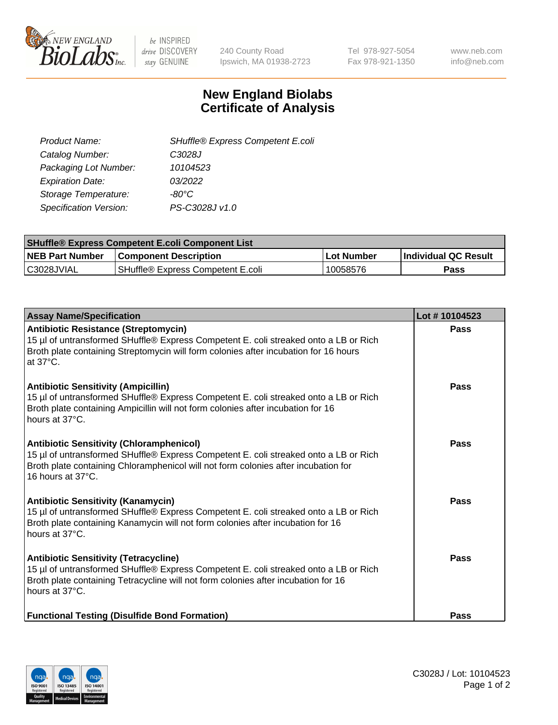

be INSPIRED drive DISCOVERY stay GENUINE

240 County Road Ipswich, MA 01938-2723 Tel 978-927-5054 Fax 978-921-1350 www.neb.com info@neb.com

## **New England Biolabs Certificate of Analysis**

| SHuffle® Express Competent E.coli |
|-----------------------------------|
| C3028J                            |
| 10104523                          |
| 03/2022                           |
| -80°C                             |
| PS-C3028J v1.0                    |
|                                   |

| <b>SHuffle® Express Competent E.coli Component List</b> |                                   |                   |                             |  |
|---------------------------------------------------------|-----------------------------------|-------------------|-----------------------------|--|
| <b>NEB Part Number</b>                                  | <b>Component Description</b>      | <b>Lot Number</b> | <b>Individual QC Result</b> |  |
| C3028JVIAL                                              | SHuffle® Express Competent E.coli | 10058576          | Pass                        |  |

| <b>Assay Name/Specification</b>                                                                                                                                                                                                                    | Lot #10104523 |
|----------------------------------------------------------------------------------------------------------------------------------------------------------------------------------------------------------------------------------------------------|---------------|
| Antibiotic Resistance (Streptomycin)<br>15 µl of untransformed SHuffle® Express Competent E. coli streaked onto a LB or Rich<br>Broth plate containing Streptomycin will form colonies after incubation for 16 hours<br>at $37^{\circ}$ C.         | <b>Pass</b>   |
| <b>Antibiotic Sensitivity (Ampicillin)</b><br>15 µl of untransformed SHuffle® Express Competent E. coli streaked onto a LB or Rich<br>Broth plate containing Ampicillin will not form colonies after incubation for 16<br>hours at 37°C.           | Pass          |
| <b>Antibiotic Sensitivity (Chloramphenicol)</b><br>15 µl of untransformed SHuffle® Express Competent E. coli streaked onto a LB or Rich<br>Broth plate containing Chloramphenicol will not form colonies after incubation for<br>16 hours at 37°C. | Pass          |
| <b>Antibiotic Sensitivity (Kanamycin)</b><br>15 µl of untransformed SHuffle® Express Competent E. coli streaked onto a LB or Rich<br>Broth plate containing Kanamycin will not form colonies after incubation for 16<br>hours at 37°C.             | Pass          |
| <b>Antibiotic Sensitivity (Tetracycline)</b><br>15 µl of untransformed SHuffle® Express Competent E. coli streaked onto a LB or Rich<br>Broth plate containing Tetracycline will not form colonies after incubation for 16<br>hours at 37°C.       | Pass          |
| <b>Functional Testing (Disulfide Bond Formation)</b>                                                                                                                                                                                               | Pass          |